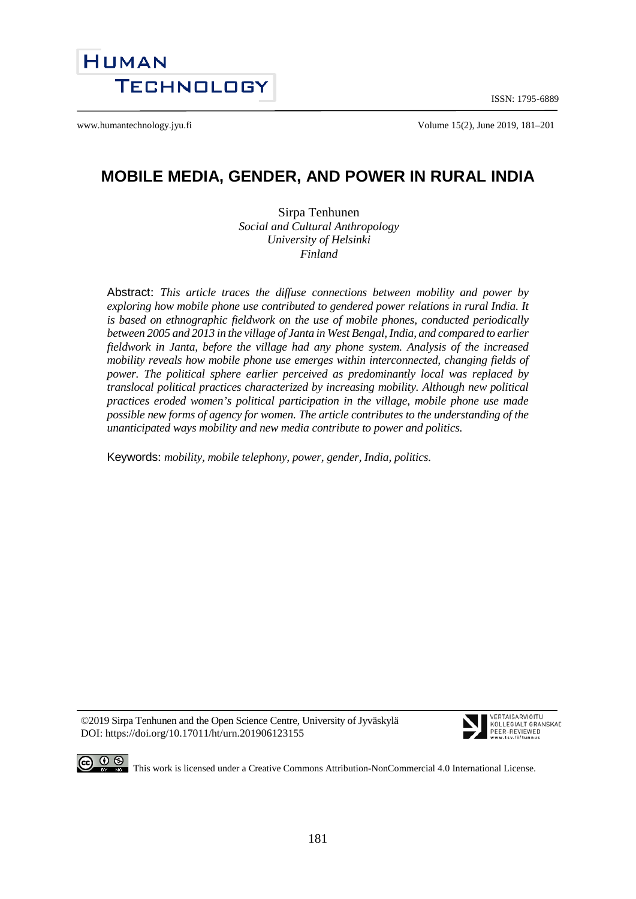ISSN: 1795-6889



www.humantechnology.jyu.fi example 15(2), June 2019, 181–201

# **MOBILE MEDIA, GENDER, AND POWER IN RURAL INDIA**

Sirpa Tenhunen *Social and Cultural Anthropology University of Helsinki Finland*

Abstract: *This article traces the diffuse connections between mobility and power by exploring how mobile phone use contributed to gendered power relations in rural India. It is based on ethnographic fieldwork on the use of mobile phones, conducted periodically between 2005 and 2013 in the village of Janta in West Bengal, India, and compared to earlier fieldwork in Janta, before the village had any phone system. Analysis of the increased mobility reveals how mobile phone use emerges within interconnected, changing fields of power. The political sphere earlier perceived as predominantly local was replaced by translocal political practices characterized by increasing mobility. Although new political practices eroded women's political participation in the village, mobile phone use made possible new forms of agency for women. The article contributes to the understanding of the unanticipated ways mobility and new media contribute to power and politics.*

Keywords: *mobility, mobile telephony, power, gender, India, politics.* 

©2019 Sirpa Tenhunen and the Open Science Centre, University of Jyväskylä DOI: https://doi.org/10.17011/ht/urn.201906123155



VERTAISARVIOITU KOLL FRIALT GRANSKAD PEER-REVIEWED



**CO**  $\bigcirc$   $\bigcirc$   $\bigcirc$  This work is licensed under [a Creative Commons Attribution-NonCommercial 4.0 International License.](http://creativecommons.org/licenses/by-nc/4.0/)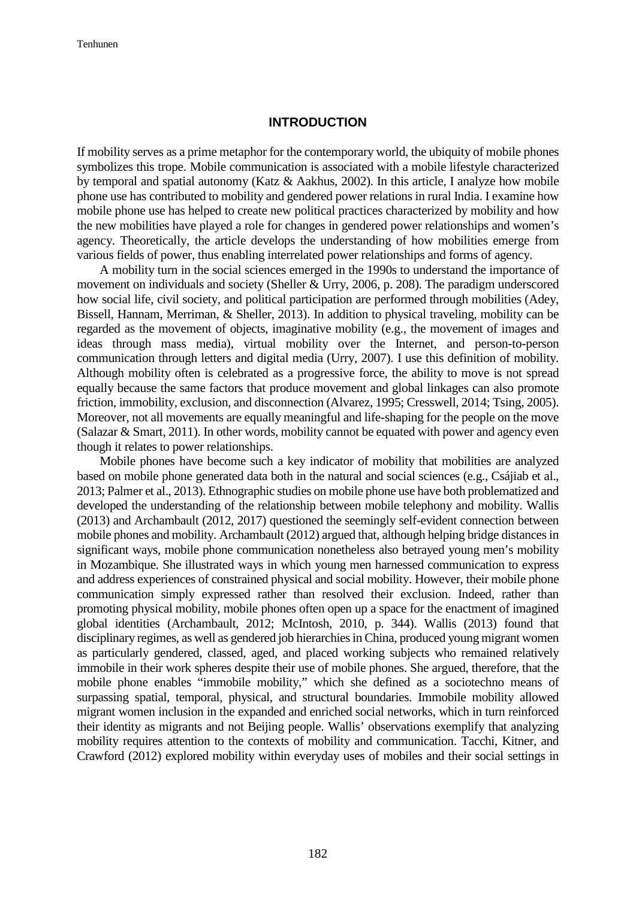### **INTRODUCTION**

If mobility serves as a prime metaphor for the contemporary world, the ubiquity of mobile phones symbolizes this trope. Mobile communication is associated with a mobile lifestyle characterized by temporal and spatial autonomy (Katz & Aakhus, 2002). In this article, I analyze how mobile phone use has contributed to mobility and gendered power relations in rural India. I examine how mobile phone use has helped to create new political practices characterized by mobility and how the new mobilities have played a role for changes in gendered power relationships and women's agency. Theoretically, the article develops the understanding of how mobilities emerge from various fields of power, thus enabling interrelated power relationships and forms of agency.

A mobility turn in the social sciences emerged in the 1990s to understand the importance of movement on individuals and society (Sheller & Urry, 2006, p. 208). The paradigm underscored how social life, civil society, and political participation are performed through mobilities (Adey, Bissell, Hannam, Merriman, & Sheller, 2013). In addition to physical traveling, mobility can be regarded as the movement of objects, imaginative mobility (e.g., the movement of images and ideas through mass media), virtual mobility over the Internet, and person-to-person communication through letters and digital media (Urry, 2007). I use this definition of mobility. Although mobility often is celebrated as a progressive force, the ability to move is not spread equally because the same factors that produce movement and global linkages can also promote friction, immobility, exclusion, and disconnection (Alvarez, 1995; Cresswell, 2014; Tsing, 2005). Moreover, not all movements are equally meaningful and life-shaping for the people on the move (Salazar & Smart, 2011). In other words, mobility cannot be equated with power and agency even though it relates to power relationships.

Mobile phones have become such a key indicator of mobility that mobilities are analyzed based on mobile phone generated data both in the natural and social sciences (e.g., Csájiab et al., 2013; Palmer et al., 2013). Ethnographic studies on mobile phone use have both problematized and developed the understanding of the relationship between mobile telephony and mobility. Wallis (2013) and Archambault (2012, 2017) questioned the seemingly self-evident connection between mobile phones and mobility. Archambault (2012) argued that, although helping bridge distances in significant ways, mobile phone communication nonetheless also betrayed young men's mobility in Mozambique. She illustrated ways in which young men harnessed communication to express and address experiences of constrained physical and social mobility. However, their mobile phone communication simply expressed rather than resolved their exclusion. Indeed, rather than promoting physical mobility, mobile phones often open up a space for the enactment of imagined global identities (Archambault, 2012; McIntosh, 2010, p. 344). Wallis (2013) found that disciplinary regimes, as well as gendered job hierarchies in China, produced young migrant women as particularly gendered, classed, aged, and placed working subjects who remained relatively immobile in their work spheres despite their use of mobile phones. She argued, therefore, that the mobile phone enables "immobile mobility," which she defined as a sociotechno means of surpassing spatial, temporal, physical, and structural boundaries. Immobile mobility allowed migrant women inclusion in the expanded and enriched social networks, which in turn reinforced their identity as migrants and not Beijing people. Wallis' observations exemplify that analyzing mobility requires attention to the contexts of mobility and communication. Tacchi, Kitner, and Crawford (2012) explored mobility within everyday uses of mobiles and their social settings in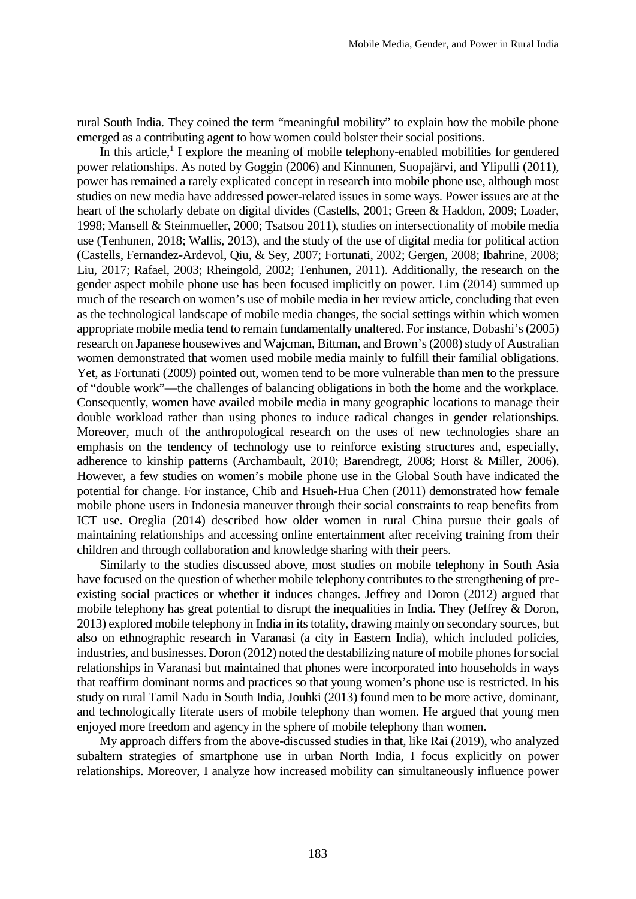rural South India. They coined the term "meaningful mobility" to explain how the mobile phone emerged as a contributing agent to how women could bolster their social positions.

In this article, $<sup>1</sup>$  I explore the meaning of mobile telephony-enabled mobilities for gendered</sup> power relationships. As noted by Goggin (2006) and Kinnunen, Suopajärvi, and Ylipulli (2011), power has remained a rarely explicated concept in research into mobile phone use, although most studies on new media have addressed power-related issues in some ways. Power issues are at the heart of the scholarly debate on digital divides (Castells, 2001; Green & Haddon, 2009; Loader, 1998; Mansell & Steinmueller, 2000; Tsatsou 2011), studies on intersectionality of mobile media use (Tenhunen, 2018; Wallis, 2013), and the study of the use of digital media for political action (Castells, Fernandez-Ardevol, Qiu, & Sey, 2007; Fortunati, 2002; Gergen, 2008; Ibahrine, 2008; Liu, 2017; Rafael, 2003; Rheingold, 2002; Tenhunen, 2011). Additionally, the research on the gender aspect mobile phone use has been focused implicitly on power. Lim (2014) summed up much of the research on women's use of mobile media in her review article, concluding that even as the technological landscape of mobile media changes, the social settings within which women appropriate mobile media tend to remain fundamentally unaltered. For instance, Dobashi's (2005) research on Japanese housewives and Wajcman, Bittman, and Brown's (2008) study of Australian women demonstrated that women used mobile media mainly to fulfill their familial obligations. Yet, as Fortunati (2009) pointed out, women tend to be more vulnerable than men to the pressure of "double work"—the challenges of balancing obligations in both the home and the workplace. Consequently, women have availed mobile media in many geographic locations to manage their double workload rather than using phones to induce radical changes in gender relationships. Moreover, much of the anthropological research on the uses of new technologies share an emphasis on the tendency of technology use to reinforce existing structures and, especially, adherence to kinship patterns (Archambault, 2010; Barendregt, 2008; Horst & Miller, 2006). However, a few studies on women's mobile phone use in the Global South have indicated the potential for change. For instance, Chib and Hsueh-Hua Chen (2011) demonstrated how female mobile phone users in Indonesia maneuver through their social constraints to reap benefits from ICT use. Oreglia (2014) described how older women in rural China pursue their goals of maintaining relationships and accessing online entertainment after receiving training from their children and through collaboration and knowledge sharing with their peers.

Similarly to the studies discussed above, most studies on mobile telephony in South Asia have focused on the question of whether mobile telephony contributes to the strengthening of preexisting social practices or whether it induces changes. Jeffrey and Doron (2012) argued that mobile telephony has great potential to disrupt the inequalities in India. They (Jeffrey & Doron, 2013) explored mobile telephony in India in its totality, drawing mainly on secondary sources, but also on ethnographic research in Varanasi (a city in Eastern India), which included policies, industries, and businesses. Doron (2012) noted the destabilizing nature of mobile phones for social relationships in Varanasi but maintained that phones were incorporated into households in ways that reaffirm dominant norms and practices so that young women's phone use is restricted. In his study on rural Tamil Nadu in South India, Jouhki (2013) found men to be more active, dominant, and technologically literate users of mobile telephony than women. He argued that young men enjoyed more freedom and agency in the sphere of mobile telephony than women.

My approach differs from the above-discussed studies in that, like Rai (2019), who analyzed subaltern strategies of smartphone use in urban North India, I focus explicitly on power relationships. Moreover, I analyze how increased mobility can simultaneously influence power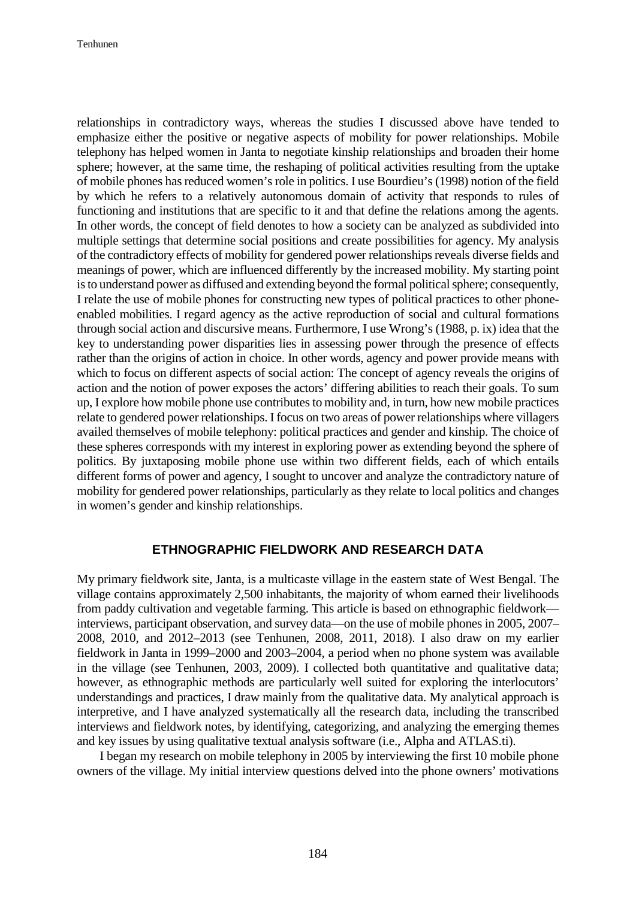Tenhunen

relationships in contradictory ways, whereas the studies I discussed above have tended to emphasize either the positive or negative aspects of mobility for power relationships. Mobile telephony has helped women in Janta to negotiate kinship relationships and broaden their home sphere; however, at the same time, the reshaping of political activities resulting from the uptake of mobile phones has reduced women's role in politics. I use Bourdieu's (1998) notion of the field by which he refers to a relatively autonomous domain of activity that responds to rules of functioning and institutions that are specific to it and that define the relations among the agents. In other words, the concept of field denotes to how a society can be analyzed as subdivided into multiple settings that determine social positions and create possibilities for agency. My analysis of the contradictory effects of mobility for gendered power relationships reveals diverse fields and meanings of power, which are influenced differently by the increased mobility. My starting point is to understand power as diffused and extending beyond the formal political sphere; consequently, I relate the use of mobile phones for constructing new types of political practices to other phoneenabled mobilities. I regard agency as the active reproduction of social and cultural formations through social action and discursive means. Furthermore, I use Wrong's (1988, p. ix) idea that the key to understanding power disparities lies in assessing power through the presence of effects rather than the origins of action in choice. In other words, agency and power provide means with which to focus on different aspects of social action: The concept of agency reveals the origins of action and the notion of power exposes the actors' differing abilities to reach their goals. To sum up, I explore how mobile phone use contributes to mobility and, in turn, how new mobile practices relate to gendered power relationships. I focus on two areas of power relationships where villagers availed themselves of mobile telephony: political practices and gender and kinship. The choice of these spheres corresponds with my interest in exploring power as extending beyond the sphere of politics. By juxtaposing mobile phone use within two different fields, each of which entails different forms of power and agency, I sought to uncover and analyze the contradictory nature of mobility for gendered power relationships, particularly as they relate to local politics and changes in women's gender and kinship relationships.

## **ETHNOGRAPHIC FIELDWORK AND RESEARCH DATA**

My primary fieldwork site, Janta, is a multicaste village in the eastern state of West Bengal. The village contains approximately 2,500 inhabitants, the majority of whom earned their livelihoods from paddy cultivation and vegetable farming. This article is based on ethnographic fieldwork interviews, participant observation, and survey data—on the use of mobile phones in 2005, 2007– 2008, 2010, and 2012–2013 (see Tenhunen, 2008, 2011, 2018). I also draw on my earlier fieldwork in Janta in 1999–2000 and 2003–2004, a period when no phone system was available in the village (see Tenhunen, 2003, 2009). I collected both quantitative and qualitative data; however, as ethnographic methods are particularly well suited for exploring the interlocutors' understandings and practices, I draw mainly from the qualitative data. My analytical approach is interpretive, and I have analyzed systematically all the research data, including the transcribed interviews and fieldwork notes, by identifying, categorizing, and analyzing the emerging themes and key issues by using qualitative textual analysis software (i.e., Alpha and ATLAS.ti).

I began my research on mobile telephony in 2005 by interviewing the first 10 mobile phone owners of the village. My initial interview questions delved into the phone owners' motivations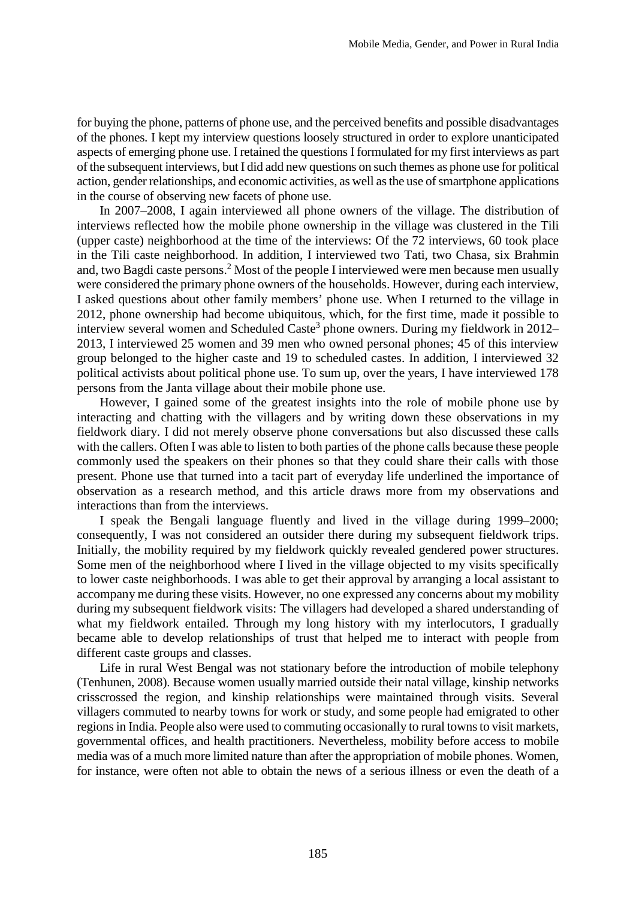for buying the phone, patterns of phone use, and the perceived benefits and possible disadvantages of the phones. I kept my interview questions loosely structured in order to explore unanticipated aspects of emerging phone use. I retained the questions I formulated for my first interviews as part of the subsequent interviews, but I did add new questions on such themes as phone use for political action, gender relationships, and economic activities, as well as the use of smartphone applications in the course of observing new facets of phone use.

In 2007–2008, I again interviewed all phone owners of the village. The distribution of interviews reflected how the mobile phone ownership in the village was clustered in the Tili (upper caste) neighborhood at the time of the interviews: Of the 72 interviews, 60 took place in the Tili caste neighborhood. In addition, I interviewed two Tati, two Chasa, six Brahmin and, two Bagdi caste persons.<sup>2</sup> Most of the people I interviewed were men because men usually were considered the primary phone owners of the households. However, during each interview, I asked questions about other family members' phone use. When I returned to the village in 2012, phone ownership had become ubiquitous, which, for the first time, made it possible to interview several women and Scheduled Caste<sup>3</sup> phone owners. During my fieldwork in 2012– 2013, I interviewed 25 women and 39 men who owned personal phones; 45 of this interview group belonged to the higher caste and 19 to scheduled castes. In addition, I interviewed 32 political activists about political phone use. To sum up, over the years, I have interviewed 178 persons from the Janta village about their mobile phone use.

However, I gained some of the greatest insights into the role of mobile phone use by interacting and chatting with the villagers and by writing down these observations in my fieldwork diary. I did not merely observe phone conversations but also discussed these calls with the callers. Often I was able to listen to both parties of the phone calls because these people commonly used the speakers on their phones so that they could share their calls with those present. Phone use that turned into a tacit part of everyday life underlined the importance of observation as a research method, and this article draws more from my observations and interactions than from the interviews.

I speak the Bengali language fluently and lived in the village during 1999–2000; consequently, I was not considered an outsider there during my subsequent fieldwork trips. Initially, the mobility required by my fieldwork quickly revealed gendered power structures. Some men of the neighborhood where I lived in the village objected to my visits specifically to lower caste neighborhoods. I was able to get their approval by arranging a local assistant to accompany me during these visits. However, no one expressed any concerns about my mobility during my subsequent fieldwork visits: The villagers had developed a shared understanding of what my fieldwork entailed. Through my long history with my interlocutors, I gradually became able to develop relationships of trust that helped me to interact with people from different caste groups and classes.

Life in rural West Bengal was not stationary before the introduction of mobile telephony (Tenhunen, 2008). Because women usually married outside their natal village, kinship networks crisscrossed the region, and kinship relationships were maintained through visits. Several villagers commuted to nearby towns for work or study, and some people had emigrated to other regions in India. People also were used to commuting occasionally to rural towns to visit markets, governmental offices, and health practitioners. Nevertheless, mobility before access to mobile media was of a much more limited nature than after the appropriation of mobile phones. Women, for instance, were often not able to obtain the news of a serious illness or even the death of a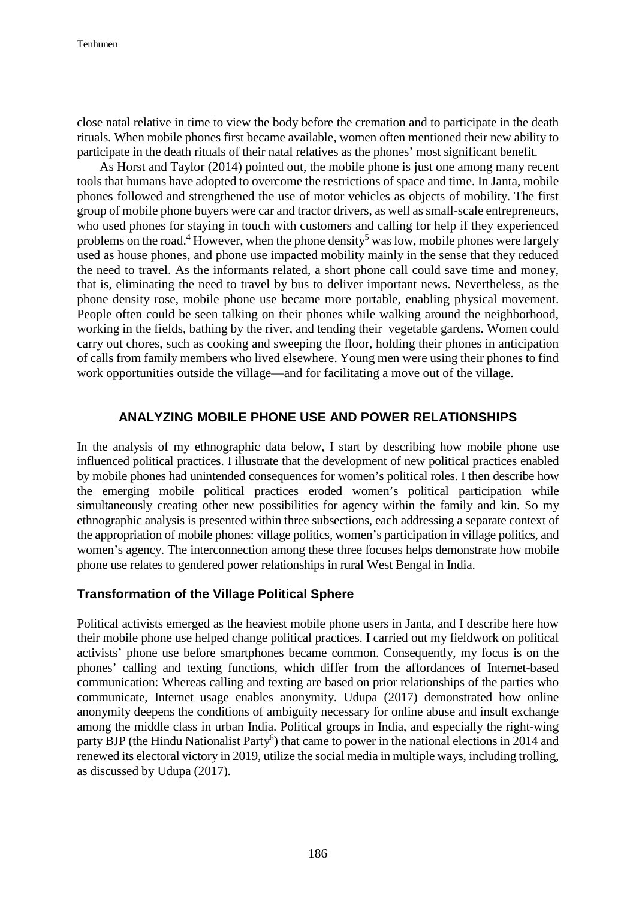close natal relative in time to view the body before the cremation and to participate in the death rituals. When mobile phones first became available, women often mentioned their new ability to participate in the death rituals of their natal relatives as the phones' most significant benefit.

As Horst and Taylor (2014) pointed out, the mobile phone is just one among many recent tools that humans have adopted to overcome the restrictions of space and time. In Janta, mobile phones followed and strengthened the use of motor vehicles as objects of mobility. The first group of mobile phone buyers were car and tractor drivers, as well as small-scale entrepreneurs, who used phones for staying in touch with customers and calling for help if they experienced problems on the road.<sup>4</sup> However, when the phone density<sup>5</sup> was low, mobile phones were largely used as house phones, and phone use impacted mobility mainly in the sense that they reduced the need to travel. As the informants related, a short phone call could save time and money, that is, eliminating the need to travel by bus to deliver important news. Nevertheless, as the phone density rose, mobile phone use became more portable, enabling physical movement. People often could be seen talking on their phones while walking around the neighborhood, working in the fields, bathing by the river, and tending their vegetable gardens. Women could carry out chores, such as cooking and sweeping the floor, holding their phones in anticipation of calls from family members who lived elsewhere. Young men were using their phones to find work opportunities outside the village—and for facilitating a move out of the village.

## **ANALYZING MOBILE PHONE USE AND POWER RELATIONSHIPS**

In the analysis of my ethnographic data below, I start by describing how mobile phone use influenced political practices. I illustrate that the development of new political practices enabled by mobile phones had unintended consequences for women's political roles. I then describe how the emerging mobile political practices eroded women's political participation while simultaneously creating other new possibilities for agency within the family and kin. So my ethnographic analysis is presented within three subsections, each addressing a separate context of the appropriation of mobile phones: village politics, women's participation in village politics, and women's agency. The interconnection among these three focuses helps demonstrate how mobile phone use relates to gendered power relationships in rural West Bengal in India.

## **Transformation of the Village Political Sphere**

Political activists emerged as the heaviest mobile phone users in Janta, and I describe here how their mobile phone use helped change political practices. I carried out my fieldwork on political activists' phone use before smartphones became common. Consequently, my focus is on the phones' calling and texting functions, which differ from the affordances of Internet-based communication: Whereas calling and texting are based on prior relationships of the parties who communicate, Internet usage enables anonymity. Udupa (2017) demonstrated how online anonymity deepens the conditions of ambiguity necessary for online abuse and insult exchange among the middle class in urban India. Political groups in India, and especially the right-wing party BJP (the Hindu Nationalist Party<sup>6</sup>) that came to power in the national elections in 2014 and renewed its electoral victory in 2019, utilize the social media in multiple ways, including trolling, as discussed by Udupa (2017).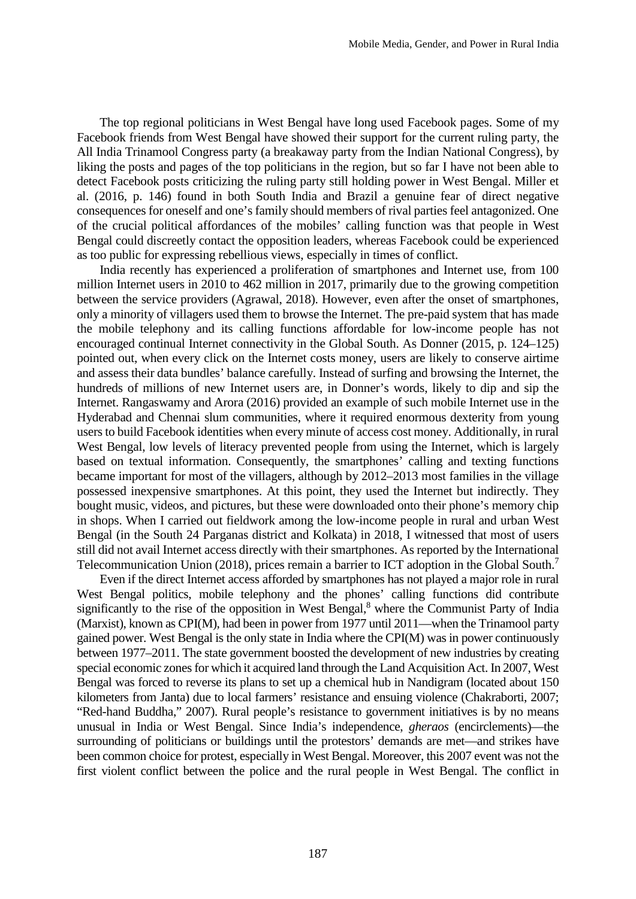The top regional politicians in West Bengal have long used Facebook pages. Some of my Facebook friends from West Bengal have showed their support for the current ruling party, the All India Trinamool Congress party (a breakaway party from the Indian National Congress), by liking the posts and pages of the top politicians in the region, but so far I have not been able to detect Facebook posts criticizing the ruling party still holding power in West Bengal. Miller et al. (2016, p. 146) found in both South India and Brazil a genuine fear of direct negative consequences for oneself and one's family should members of rival parties feel antagonized. One of the crucial political affordances of the mobiles' calling function was that people in West Bengal could discreetly contact the opposition leaders, whereas Facebook could be experienced as too public for expressing rebellious views, especially in times of conflict.

India recently has experienced a proliferation of smartphones and Internet use, from 100 million Internet users in 2010 to 462 million in 2017, primarily due to the growing competition between the service providers (Agrawal, 2018). However, even after the onset of smartphones, only a minority of villagers used them to browse the Internet. The pre-paid system that has made the mobile telephony and its calling functions affordable for low-income people has not encouraged continual Internet connectivity in the Global South. As Donner (2015, p. 124–125) pointed out, when every click on the Internet costs money, users are likely to conserve airtime and assess their data bundles' balance carefully. Instead of surfing and browsing the Internet, the hundreds of millions of new Internet users are, in Donner's words, likely to dip and sip the Internet. Rangaswamy and Arora (2016) provided an example of such mobile Internet use in the Hyderabad and Chennai slum communities, where it required enormous dexterity from young users to build Facebook identities when every minute of access cost money. Additionally, in rural West Bengal, low levels of literacy prevented people from using the Internet, which is largely based on textual information. Consequently, the smartphones' calling and texting functions became important for most of the villagers, although by 2012–2013 most families in the village possessed inexpensive smartphones. At this point, they used the Internet but indirectly. They bought music, videos, and pictures, but these were downloaded onto their phone's memory chip in shops. When I carried out fieldwork among the low-income people in rural and urban West Bengal (in the South 24 Parganas district and Kolkata) in 2018, I witnessed that most of users still did not avail Internet access directly with their smartphones. As reported by the International Telecommunication Union (2018), prices remain a barrier to ICT adoption in the Global South.<sup>7</sup>

Even if the direct Internet access afforded by smartphones has not played a major role in rural West Bengal politics, mobile telephony and the phones' calling functions did contribute significantly to the rise of the opposition in West Bengal, $<sup>8</sup>$  where the Communist Party of India</sup> (Marxist), known as CPI(M), had been in power from 1977 until 2011—when the Trinamool party gained power. West Bengal is the only state in India where the CPI(M) was in power continuously between 1977–2011. The state government boosted the development of new industries by creating special economic zones for which it acquired land through the Land Acquisition Act. In 2007, West Bengal was forced to reverse its plans to set up a chemical hub in Nandigram (located about 150 kilometers from Janta) due to local farmers' resistance and ensuing violence (Chakraborti, 2007; "Red-hand Buddha," 2007). Rural people's resistance to government initiatives is by no means unusual in India or West Bengal. Since India's independence, *gheraos* (encirclements)—the surrounding of politicians or buildings until the protestors' demands are met—and strikes have been common choice for protest, especially in West Bengal. Moreover, this 2007 event was not the first violent conflict between the police and the rural people in West Bengal. The conflict in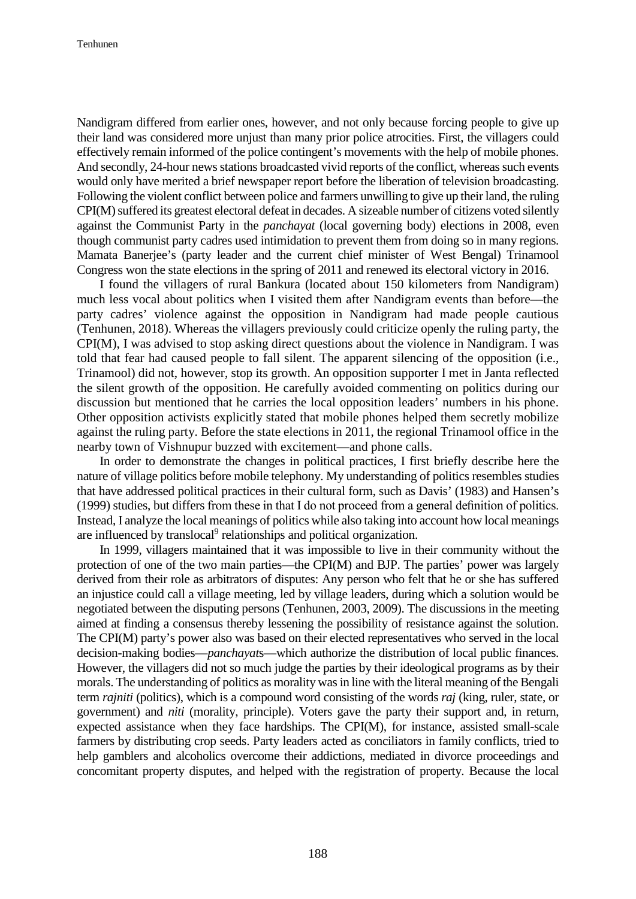Nandigram differed from earlier ones, however, and not only because forcing people to give up their land was considered more unjust than many prior police atrocities. First, the villagers could effectively remain informed of the police contingent's movements with the help of mobile phones. And secondly, 24-hour news stations broadcasted vivid reports of the conflict, whereas such events would only have merited a brief newspaper report before the liberation of television broadcasting. Following the violent conflict between police and farmers unwilling to give up their land, the ruling CPI(M) suffered its greatest electoral defeat in decades. A sizeable number of citizens voted silently against the Communist Party in the *panchayat* (local governing body) elections in 2008, even though communist party cadres used intimidation to prevent them from doing so in many regions. Mamata Banerjee's (party leader and the current chief minister of West Bengal) Trinamool Congress won the state elections in the spring of 2011 and renewed its electoral victory in 2016.

I found the villagers of rural Bankura (located about 150 kilometers from Nandigram) much less vocal about politics when I visited them after Nandigram events than before––the party cadres' violence against the opposition in Nandigram had made people cautious (Tenhunen, 2018). Whereas the villagers previously could criticize openly the ruling party, the CPI(M), I was advised to stop asking direct questions about the violence in Nandigram. I was told that fear had caused people to fall silent. The apparent silencing of the opposition (i.e., Trinamool) did not, however, stop its growth. An opposition supporter I met in Janta reflected the silent growth of the opposition. He carefully avoided commenting on politics during our discussion but mentioned that he carries the local opposition leaders' numbers in his phone. Other opposition activists explicitly stated that mobile phones helped them secretly mobilize against the ruling party. Before the state elections in 2011, the regional Trinamool office in the nearby town of Vishnupur buzzed with excitement—and phone calls.

In order to demonstrate the changes in political practices, I first briefly describe here the nature of village politics before mobile telephony. My understanding of politics resembles studies that have addressed political practices in their cultural form, such as Davis' (1983) and Hansen's (1999) studies, but differs from these in that I do not proceed from a general definition of politics. Instead, I analyze the local meanings of politics while also taking into account how local meanings are influenced by translocal<sup>9</sup> relationships and political organization.

In 1999, villagers maintained that it was impossible to live in their community without the protection of one of the two main parties—the CPI(M) and BJP. The parties' power was largely derived from their role as arbitrators of disputes: Any person who felt that he or she has suffered an injustice could call a village meeting, led by village leaders, during which a solution would be negotiated between the disputing persons (Tenhunen, 2003, 2009). The discussions in the meeting aimed at finding a consensus thereby lessening the possibility of resistance against the solution. The CPI(M) party's power also was based on their elected representatives who served in the local decision-making bodies—*panchayat*s—which authorize the distribution of local public finances. However, the villagers did not so much judge the parties by their ideological programs as by their morals. The understanding of politics as morality was in line with the literal meaning of the Bengali term *rajniti* (politics), which is a compound word consisting of the words *raj* (king, ruler, state, or government) and *niti* (morality, principle). Voters gave the party their support and, in return, expected assistance when they face hardships. The CPI(M), for instance, assisted small-scale farmers by distributing crop seeds. Party leaders acted as conciliators in family conflicts, tried to help gamblers and alcoholics overcome their addictions, mediated in divorce proceedings and concomitant property disputes, and helped with the registration of property. Because the local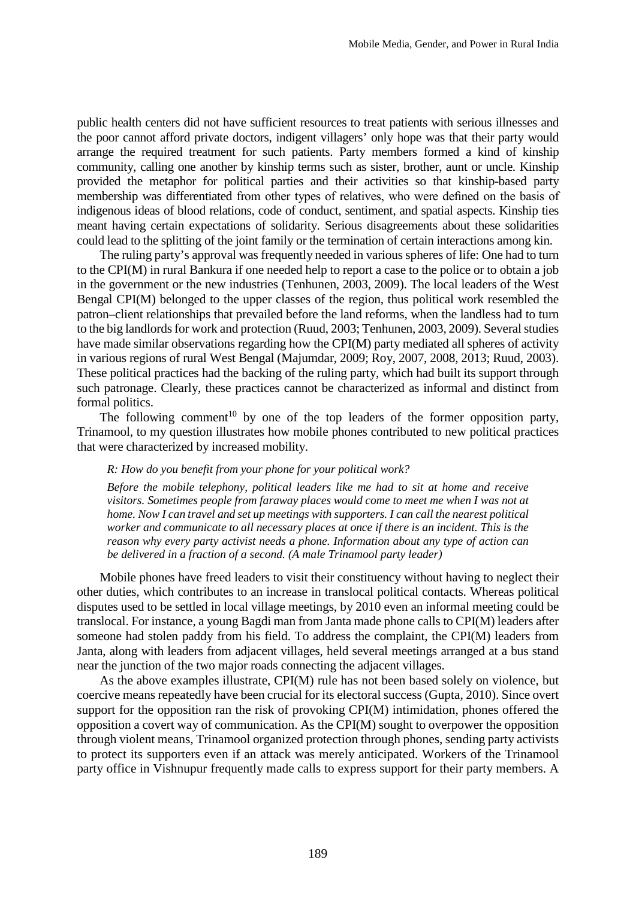public health centers did not have sufficient resources to treat patients with serious illnesses and the poor cannot afford private doctors, indigent villagers' only hope was that their party would arrange the required treatment for such patients. Party members formed a kind of kinship community, calling one another by kinship terms such as sister, brother, aunt or uncle. Kinship provided the metaphor for political parties and their activities so that kinship-based party membership was differentiated from other types of relatives, who were defined on the basis of indigenous ideas of blood relations, code of conduct, sentiment, and spatial aspects. Kinship ties meant having certain expectations of solidarity. Serious disagreements about these solidarities could lead to the splitting of the joint family or the termination of certain interactions among kin.

The ruling party's approval was frequently needed in various spheres of life: One had to turn to the CPI(M) in rural Bankura if one needed help to report a case to the police or to obtain a job in the government or the new industries (Tenhunen, 2003, 2009). The local leaders of the West Bengal CPI(M) belonged to the upper classes of the region, thus political work resembled the patron–client relationships that prevailed before the land reforms, when the landless had to turn to the big landlords for work and protection (Ruud, 2003; Tenhunen, 2003, 2009). Several studies have made similar observations regarding how the CPI(M) party mediated all spheres of activity in various regions of rural West Bengal (Majumdar, 2009; Roy, 2007, 2008, 2013; Ruud, 2003). These political practices had the backing of the ruling party, which had built its support through such patronage. Clearly, these practices cannot be characterized as informal and distinct from formal politics.

The following comment<sup>10</sup> by one of the top leaders of the former opposition party, Trinamool, to my question illustrates how mobile phones contributed to new political practices that were characterized by increased mobility.

#### *R: How do you benefit from your phone for your political work?*

*Before the mobile telephony, political leaders like me had to sit at home and receive visitors. Sometimes people from faraway places would come to meet me when I was not at home. Now I can travel and set up meetings with supporters. I can call the nearest political worker and communicate to all necessary places at once if there is an incident. This is the reason why every party activist needs a phone. Information about any type of action can be delivered in a fraction of a second. (A male Trinamool party leader)*

Mobile phones have freed leaders to visit their constituency without having to neglect their other duties, which contributes to an increase in translocal political contacts. Whereas political disputes used to be settled in local village meetings, by 2010 even an informal meeting could be translocal. For instance, a young Bagdi man from Janta made phone calls to CPI(M) leaders after someone had stolen paddy from his field. To address the complaint, the CPI(M) leaders from Janta, along with leaders from adjacent villages, held several meetings arranged at a bus stand near the junction of the two major roads connecting the adjacent villages.

As the above examples illustrate, CPI(M) rule has not been based solely on violence, but coercive means repeatedly have been crucial for its electoral success (Gupta, 2010). Since overt support for the opposition ran the risk of provoking CPI(M) intimidation, phones offered the opposition a covert way of communication. As the CPI(M) sought to overpower the opposition through violent means, Trinamool organized protection through phones, sending party activists to protect its supporters even if an attack was merely anticipated. Workers of the Trinamool party office in Vishnupur frequently made calls to express support for their party members. A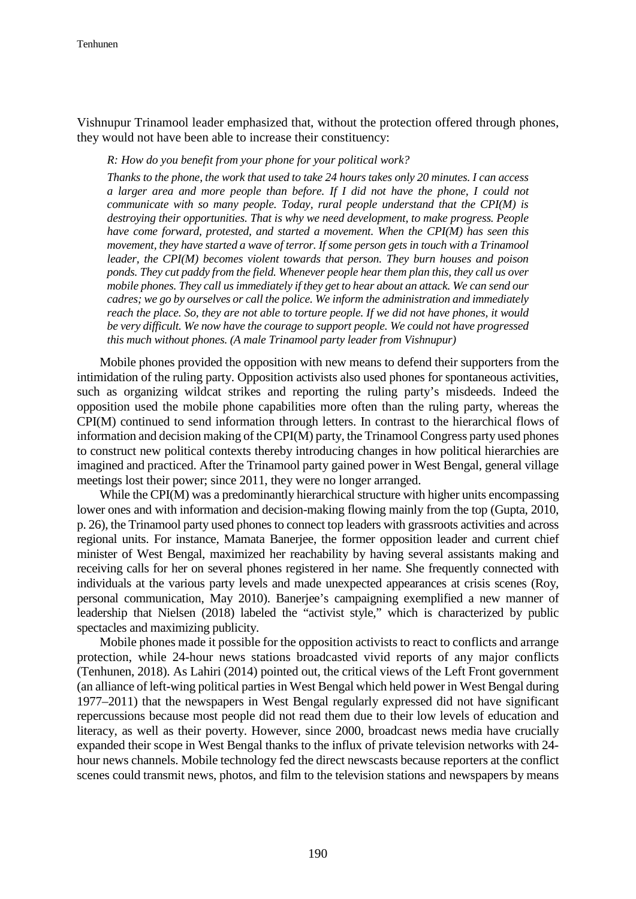Vishnupur Trinamool leader emphasized that, without the protection offered through phones, they would not have been able to increase their constituency:

*R: How do you benefit from your phone for your political work?*

*Thanks to the phone, the work that used to take 24 hours takes only 20 minutes. I can access a larger area and more people than before. If I did not have the phone, I could not communicate with so many people. Today, rural people understand that the CPI(M) is destroying their opportunities. That is why we need development, to make progress. People have come forward, protested, and started a movement. When the CPI(M) has seen this movement, they have started a wave of terror. If some person gets in touch with a Trinamool leader, the CPI(M) becomes violent towards that person. They burn houses and poison ponds. They cut paddy from the field. Whenever people hear them plan this, they call us over mobile phones. They call us immediately if they get to hear about an attack. We can send our cadres; we go by ourselves or call the police. We inform the administration and immediately reach the place. So, they are not able to torture people. If we did not have phones, it would be very difficult. We now have the courage to support people. We could not have progressed this much without phones. (A male Trinamool party leader from Vishnupur)*

Mobile phones provided the opposition with new means to defend their supporters from the intimidation of the ruling party. Opposition activists also used phones for spontaneous activities, such as organizing wildcat strikes and reporting the ruling party's misdeeds. Indeed the opposition used the mobile phone capabilities more often than the ruling party, whereas the CPI(M) continued to send information through letters. In contrast to the hierarchical flows of information and decision making of the CPI(M) party, the Trinamool Congress party used phones to construct new political contexts thereby introducing changes in how political hierarchies are imagined and practiced. After the Trinamool party gained power in West Bengal, general village meetings lost their power; since 2011, they were no longer arranged.

While the CPI(M) was a predominantly hierarchical structure with higher units encompassing lower ones and with information and decision-making flowing mainly from the top (Gupta, 2010, p. 26), the Trinamool party used phones to connect top leaders with grassroots activities and across regional units. For instance, Mamata Banerjee, the former opposition leader and current chief minister of West Bengal, maximized her reachability by having several assistants making and receiving calls for her on several phones registered in her name. She frequently connected with individuals at the various party levels and made unexpected appearances at crisis scenes (Roy, personal communication, May 2010). Banerjee's campaigning exemplified a new manner of leadership that Nielsen (2018) labeled the "activist style," which is characterized by public spectacles and maximizing publicity.

Mobile phones made it possible for the opposition activists to react to conflicts and arrange protection, while 24-hour news stations broadcasted vivid reports of any major conflicts (Tenhunen, 2018). As Lahiri (2014) pointed out, the critical views of the Left Front government (an alliance of left-wing political parties in West Bengal which held power in West Bengal during 1977–2011) that the newspapers in West Bengal regularly expressed did not have significant repercussions because most people did not read them due to their low levels of education and literacy, as well as their poverty. However, since 2000, broadcast news media have crucially expanded their scope in West Bengal thanks to the influx of private television networks with 24 hour news channels. Mobile technology fed the direct newscasts because reporters at the conflict scenes could transmit news, photos, and film to the television stations and newspapers by means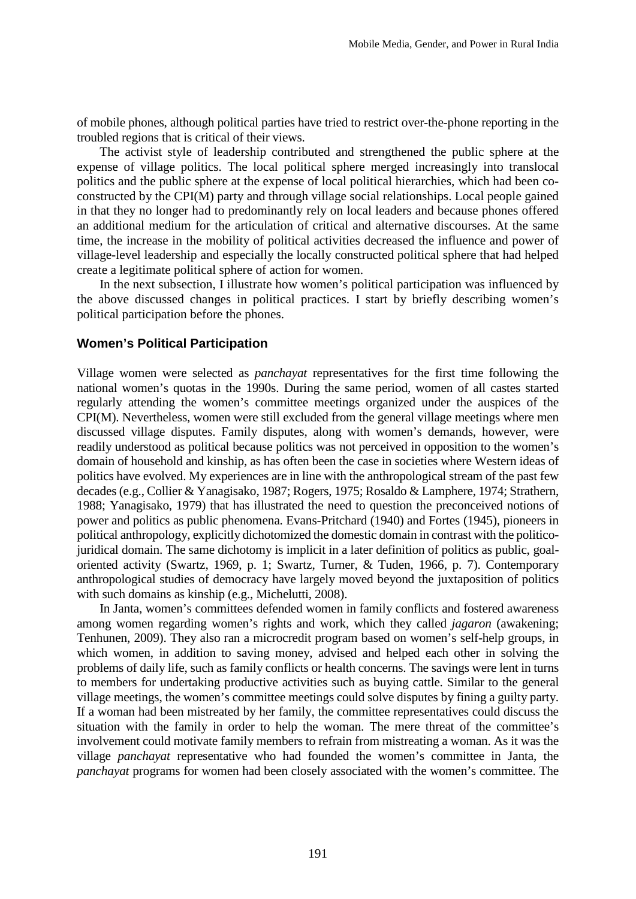of mobile phones, although political parties have tried to restrict over-the-phone reporting in the troubled regions that is critical of their views.

The activist style of leadership contributed and strengthened the public sphere at the expense of village politics. The local political sphere merged increasingly into translocal politics and the public sphere at the expense of local political hierarchies, which had been coconstructed by the CPI(M) party and through village social relationships. Local people gained in that they no longer had to predominantly rely on local leaders and because phones offered an additional medium for the articulation of critical and alternative discourses. At the same time, the increase in the mobility of political activities decreased the influence and power of village-level leadership and especially the locally constructed political sphere that had helped create a legitimate political sphere of action for women.

In the next subsection, I illustrate how women's political participation was influenced by the above discussed changes in political practices. I start by briefly describing women's political participation before the phones.

#### **Women's Political Participation**

Village women were selected as *panchayat* representatives for the first time following the national women's quotas in the 1990s. During the same period, women of all castes started regularly attending the women's committee meetings organized under the auspices of the CPI(M). Nevertheless, women were still excluded from the general village meetings where men discussed village disputes. Family disputes, along with women's demands, however, were readily understood as political because politics was not perceived in opposition to the women's domain of household and kinship, as has often been the case in societies where Western ideas of politics have evolved. My experiences are in line with the anthropological stream of the past few decades (e.g., Collier & Yanagisako, 1987; Rogers, 1975; Rosaldo & Lamphere, 1974; Strathern, 1988; Yanagisako, 1979) that has illustrated the need to question the preconceived notions of power and politics as public phenomena. Evans-Pritchard (1940) and Fortes (1945), pioneers in political anthropology, explicitly dichotomized the domestic domain in contrast with the politicojuridical domain. The same dichotomy is implicit in a later definition of politics as public, goaloriented activity (Swartz, 1969, p. 1; Swartz, Turner, & Tuden, 1966, p. 7). Contemporary anthropological studies of democracy have largely moved beyond the juxtaposition of politics with such domains as kinship (e.g., Michelutti, 2008).

In Janta, women's committees defended women in family conflicts and fostered awareness among women regarding women's rights and work, which they called *jagaron* (awakening; Tenhunen, 2009). They also ran a microcredit program based on women's self-help groups, in which women, in addition to saving money, advised and helped each other in solving the problems of daily life, such as family conflicts or health concerns. The savings were lent in turns to members for undertaking productive activities such as buying cattle. Similar to the general village meetings, the women's committee meetings could solve disputes by fining a guilty party. If a woman had been mistreated by her family, the committee representatives could discuss the situation with the family in order to help the woman. The mere threat of the committee's involvement could motivate family members to refrain from mistreating a woman. As it was the village *panchayat* representative who had founded the women's committee in Janta, the *panchayat* programs for women had been closely associated with the women's committee. The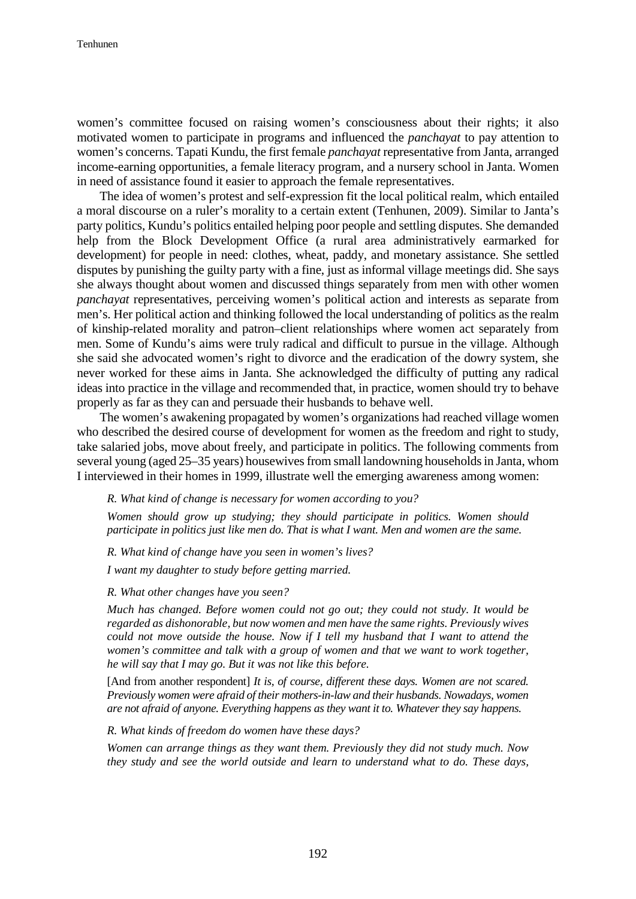women's committee focused on raising women's consciousness about their rights; it also motivated women to participate in programs and influenced the *panchayat* to pay attention to women's concerns. Tapati Kundu, the first female *panchayat* representative from Janta, arranged income-earning opportunities, a female literacy program, and a nursery school in Janta. Women in need of assistance found it easier to approach the female representatives.

The idea of women's protest and self-expression fit the local political realm, which entailed a moral discourse on a ruler's morality to a certain extent (Tenhunen, 2009). Similar to Janta's party politics, Kundu's politics entailed helping poor people and settling disputes. She demanded help from the Block Development Office (a rural area administratively earmarked for development) for people in need: clothes, wheat, paddy, and monetary assistance. She settled disputes by punishing the guilty party with a fine, just as informal village meetings did. She says she always thought about women and discussed things separately from men with other women *panchayat* representatives, perceiving women's political action and interests as separate from men's. Her political action and thinking followed the local understanding of politics as the realm of kinship-related morality and patron–client relationships where women act separately from men. Some of Kundu's aims were truly radical and difficult to pursue in the village. Although she said she advocated women's right to divorce and the eradication of the dowry system, she never worked for these aims in Janta. She acknowledged the difficulty of putting any radical ideas into practice in the village and recommended that, in practice, women should try to behave properly as far as they can and persuade their husbands to behave well.

The women's awakening propagated by women's organizations had reached village women who described the desired course of development for women as the freedom and right to study, take salaried jobs, move about freely, and participate in politics. The following comments from several young (aged 25–35 years) housewives from small landowning households in Janta, whom I interviewed in their homes in 1999, illustrate well the emerging awareness among women:

*R. What kind of change is necessary for women according to you?*

*Women should grow up studying; they should participate in politics. Women should participate in politics just like men do. That is what I want. Men and women are the same.* 

*R. What kind of change have you seen in women's lives? I want my daughter to study before getting married.*

*R. What other changes have you seen?*

*Much has changed. Before women could not go out; they could not study. It would be regarded as dishonorable, but now women and men have the same rights. Previously wives could not move outside the house. Now if I tell my husband that I want to attend the women's committee and talk with a group of women and that we want to work together, he will say that I may go. But it was not like this before.*

[And from another respondent] *It is, of course, different these days. Women are not scared. Previously women were afraid of their mothers-in-law and their husbands. Nowadays, women are not afraid of anyone. Everything happens as they want it to. Whatever they say happens.*

*R. What kinds of freedom do women have these days?*

*Women can arrange things as they want them. Previously they did not study much. Now they study and see the world outside and learn to understand what to do. These days,*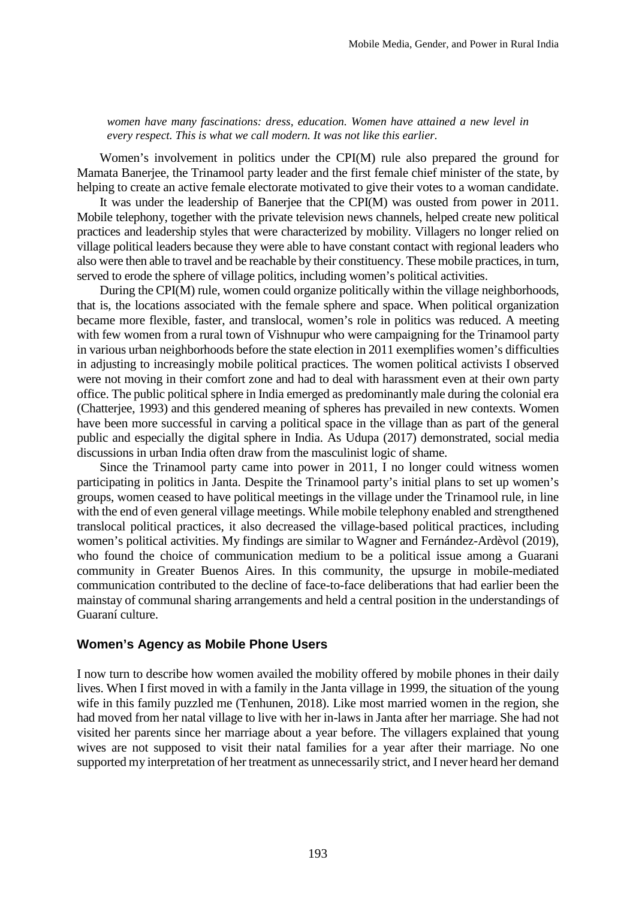*women have many fascinations: dress, education. Women have attained a new level in every respect. This is what we call modern. It was not like this earlier.* 

Women's involvement in politics under the CPI(M) rule also prepared the ground for Mamata Banerjee, the Trinamool party leader and the first female chief minister of the state, by helping to create an active female electorate motivated to give their votes to a woman candidate.

It was under the leadership of Banerjee that the CPI(M) was ousted from power in 2011. Mobile telephony, together with the private television news channels, helped create new political practices and leadership styles that were characterized by mobility. Villagers no longer relied on village political leaders because they were able to have constant contact with regional leaders who also were then able to travel and be reachable by their constituency. These mobile practices, in turn, served to erode the sphere of village politics, including women's political activities.

During the CPI(M) rule, women could organize politically within the village neighborhoods, that is, the locations associated with the female sphere and space. When political organization became more flexible, faster, and translocal, women's role in politics was reduced. A meeting with few women from a rural town of Vishnupur who were campaigning for the Trinamool party in various urban neighborhoods before the state election in 2011 exemplifies women's difficulties in adjusting to increasingly mobile political practices. The women political activists I observed were not moving in their comfort zone and had to deal with harassment even at their own party office. The public political sphere in India emerged as predominantly male during the colonial era (Chatterjee, 1993) and this gendered meaning of spheres has prevailed in new contexts. Women have been more successful in carving a political space in the village than as part of the general public and especially the digital sphere in India. As Udupa (2017) demonstrated, social media discussions in urban India often draw from the masculinist logic of shame.

Since the Trinamool party came into power in 2011, I no longer could witness women participating in politics in Janta. Despite the Trinamool party's initial plans to set up women's groups, women ceased to have political meetings in the village under the Trinamool rule, in line with the end of even general village meetings. While mobile telephony enabled and strengthened translocal political practices, it also decreased the village-based political practices, including women's political activities. My findings are similar to Wagner and Fernández-Ardèvol (2019), who found the choice of communication medium to be a political issue among a Guarani community in Greater Buenos Aires. In this community, the upsurge in mobile-mediated communication contributed to the decline of face-to-face deliberations that had earlier been the mainstay of communal sharing arrangements and held a central position in the understandings of Guaraní culture.

#### **Women's Agency as Mobile Phone Users**

I now turn to describe how women availed the mobility offered by mobile phones in their daily lives. When I first moved in with a family in the Janta village in 1999, the situation of the young wife in this family puzzled me (Tenhunen, 2018). Like most married women in the region, she had moved from her natal village to live with her in-laws in Janta after her marriage. She had not visited her parents since her marriage about a year before. The villagers explained that young wives are not supposed to visit their natal families for a year after their marriage. No one supported my interpretation of her treatment as unnecessarily strict, and I never heard her demand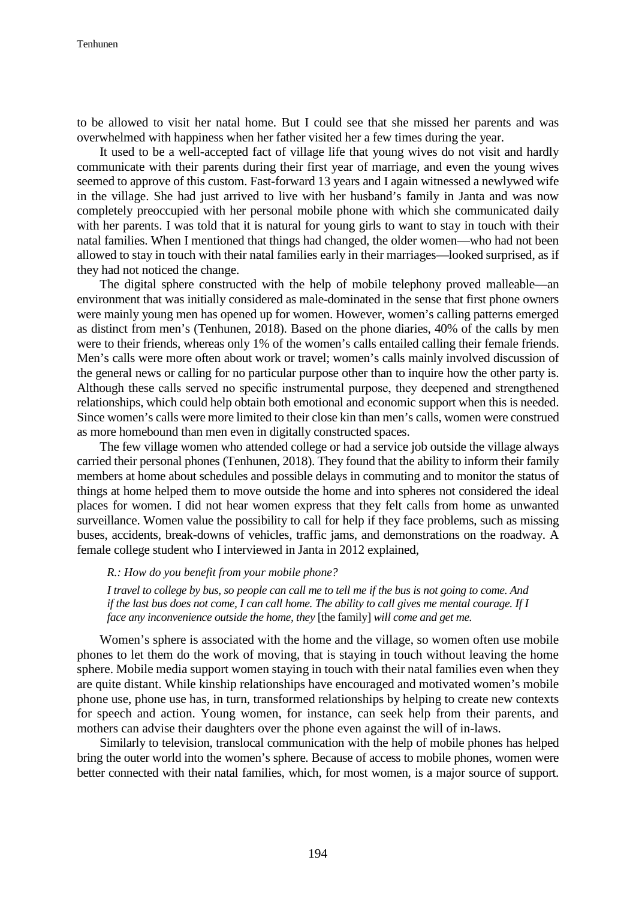to be allowed to visit her natal home. But I could see that she missed her parents and was overwhelmed with happiness when her father visited her a few times during the year.

It used to be a well-accepted fact of village life that young wives do not visit and hardly communicate with their parents during their first year of marriage, and even the young wives seemed to approve of this custom. Fast-forward 13 years and I again witnessed a newlywed wife in the village. She had just arrived to live with her husband's family in Janta and was now completely preoccupied with her personal mobile phone with which she communicated daily with her parents. I was told that it is natural for young girls to want to stay in touch with their natal families. When I mentioned that things had changed, the older women—who had not been allowed to stay in touch with their natal families early in their marriages—looked surprised, as if they had not noticed the change.

The digital sphere constructed with the help of mobile telephony proved malleable—an environment that was initially considered as male-dominated in the sense that first phone owners were mainly young men has opened up for women. However, women's calling patterns emerged as distinct from men's (Tenhunen, 2018). Based on the phone diaries, 40% of the calls by men were to their friends, whereas only 1% of the women's calls entailed calling their female friends. Men's calls were more often about work or travel; women's calls mainly involved discussion of the general news or calling for no particular purpose other than to inquire how the other party is. Although these calls served no specific instrumental purpose, they deepened and strengthened relationships, which could help obtain both emotional and economic support when this is needed. Since women's calls were more limited to their close kin than men's calls, women were construed as more homebound than men even in digitally constructed spaces.

The few village women who attended college or had a service job outside the village always carried their personal phones (Tenhunen, 2018). They found that the ability to inform their family members at home about schedules and possible delays in commuting and to monitor the status of things at home helped them to move outside the home and into spheres not considered the ideal places for women. I did not hear women express that they felt calls from home as unwanted surveillance. Women value the possibility to call for help if they face problems, such as missing buses, accidents, break-downs of vehicles, traffic jams, and demonstrations on the roadway. A female college student who I interviewed in Janta in 2012 explained,

*R.: How do you benefit from your mobile phone?* 

*I travel to college by bus, so people can call me to tell me if the bus is not going to come. And if the last bus does not come, I can call home. The ability to call gives me mental courage. If I face any inconvenience outside the home, they* [the family] *will come and get me.*

Women's sphere is associated with the home and the village, so women often use mobile phones to let them do the work of moving, that is staying in touch without leaving the home sphere. Mobile media support women staying in touch with their natal families even when they are quite distant. While kinship relationships have encouraged and motivated women's mobile phone use, phone use has, in turn, transformed relationships by helping to create new contexts for speech and action. Young women, for instance, can seek help from their parents, and mothers can advise their daughters over the phone even against the will of in-laws.

Similarly to television, translocal communication with the help of mobile phones has helped bring the outer world into the women's sphere. Because of access to mobile phones, women were better connected with their natal families, which, for most women, is a major source of support.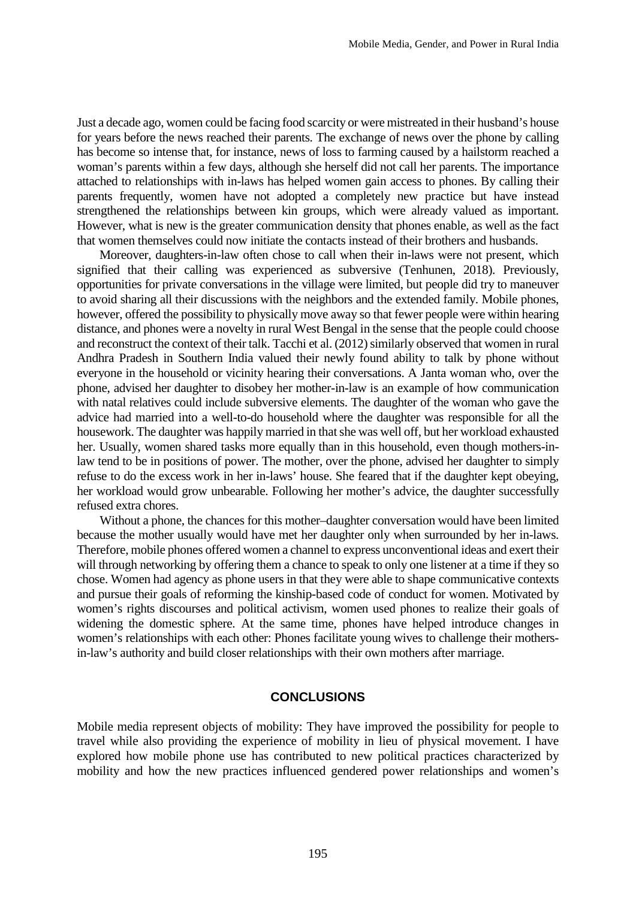Just a decade ago, women could be facing food scarcity or were mistreated in their husband's house for years before the news reached their parents. The exchange of news over the phone by calling has become so intense that, for instance, news of loss to farming caused by a hailstorm reached a woman's parents within a few days, although she herself did not call her parents. The importance attached to relationships with in-laws has helped women gain access to phones. By calling their parents frequently, women have not adopted a completely new practice but have instead strengthened the relationships between kin groups, which were already valued as important. However, what is new is the greater communication density that phones enable, as well as the fact that women themselves could now initiate the contacts instead of their brothers and husbands.

Moreover, daughters-in-law often chose to call when their in-laws were not present, which signified that their calling was experienced as subversive (Tenhunen, 2018). Previously, opportunities for private conversations in the village were limited, but people did try to maneuver to avoid sharing all their discussions with the neighbors and the extended family. Mobile phones, however, offered the possibility to physically move away so that fewer people were within hearing distance, and phones were a novelty in rural West Bengal in the sense that the people could choose and reconstruct the context of their talk. Tacchi et al. (2012) similarly observed that women in rural Andhra Pradesh in Southern India valued their newly found ability to talk by phone without everyone in the household or vicinity hearing their conversations. A Janta woman who, over the phone, advised her daughter to disobey her mother-in-law is an example of how communication with natal relatives could include subversive elements. The daughter of the woman who gave the advice had married into a well-to-do household where the daughter was responsible for all the housework. The daughter was happily married in that she was well off, but her workload exhausted her. Usually, women shared tasks more equally than in this household, even though mothers-inlaw tend to be in positions of power. The mother, over the phone, advised her daughter to simply refuse to do the excess work in her in-laws' house. She feared that if the daughter kept obeying, her workload would grow unbearable. Following her mother's advice, the daughter successfully refused extra chores.

Without a phone, the chances for this mother–daughter conversation would have been limited because the mother usually would have met her daughter only when surrounded by her in-laws. Therefore, mobile phones offered women a channel to express unconventional ideas and exert their will through networking by offering them a chance to speak to only one listener at a time if they so chose. Women had agency as phone users in that they were able to shape communicative contexts and pursue their goals of reforming the kinship-based code of conduct for women. Motivated by women's rights discourses and political activism, women used phones to realize their goals of widening the domestic sphere. At the same time, phones have helped introduce changes in women's relationships with each other: Phones facilitate young wives to challenge their mothersin-law's authority and build closer relationships with their own mothers after marriage.

### **CONCLUSIONS**

Mobile media represent objects of mobility: They have improved the possibility for people to travel while also providing the experience of mobility in lieu of physical movement. I have explored how mobile phone use has contributed to new political practices characterized by mobility and how the new practices influenced gendered power relationships and women's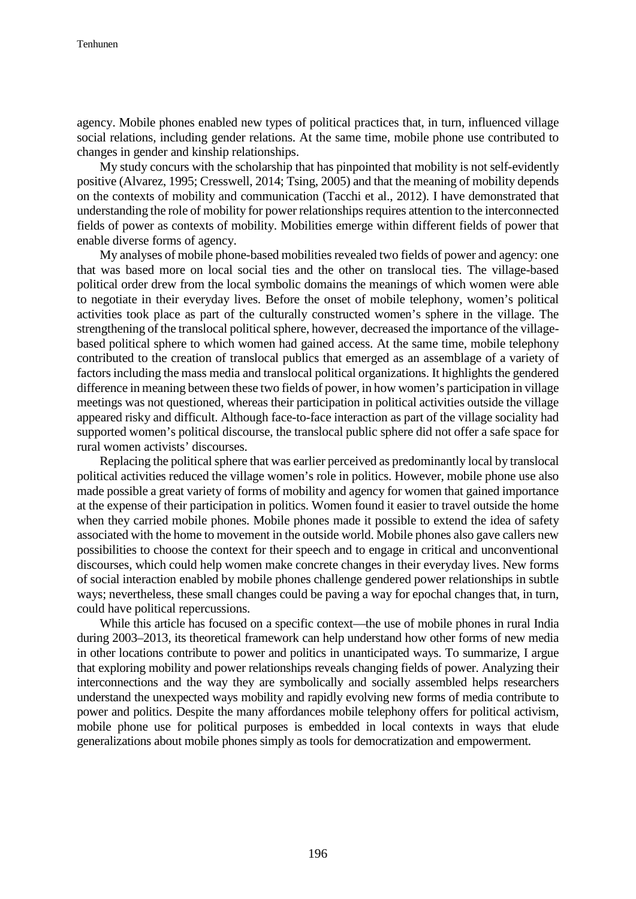agency. Mobile phones enabled new types of political practices that, in turn, influenced village social relations, including gender relations. At the same time, mobile phone use contributed to changes in gender and kinship relationships.

My study concurs with the scholarship that has pinpointed that mobility is not self-evidently positive (Alvarez, 1995; Cresswell, 2014; Tsing, 2005) and that the meaning of mobility depends on the contexts of mobility and communication (Tacchi et al., 2012). I have demonstrated that understanding the role of mobility for power relationships requires attention to the interconnected fields of power as contexts of mobility. Mobilities emerge within different fields of power that enable diverse forms of agency.

My analyses of mobile phone-based mobilities revealed two fields of power and agency: one that was based more on local social ties and the other on translocal ties. The village-based political order drew from the local symbolic domains the meanings of which women were able to negotiate in their everyday lives. Before the onset of mobile telephony, women's political activities took place as part of the culturally constructed women's sphere in the village. The strengthening of the translocal political sphere, however, decreased the importance of the villagebased political sphere to which women had gained access. At the same time, mobile telephony contributed to the creation of translocal publics that emerged as an assemblage of a variety of factors including the mass media and translocal political organizations. It highlights the gendered difference in meaning between these two fields of power, in how women's participation in village meetings was not questioned, whereas their participation in political activities outside the village appeared risky and difficult. Although face-to-face interaction as part of the village sociality had supported women's political discourse, the translocal public sphere did not offer a safe space for rural women activists' discourses.

Replacing the political sphere that was earlier perceived as predominantly local by translocal political activities reduced the village women's role in politics. However, mobile phone use also made possible a great variety of forms of mobility and agency for women that gained importance at the expense of their participation in politics. Women found it easier to travel outside the home when they carried mobile phones. Mobile phones made it possible to extend the idea of safety associated with the home to movement in the outside world. Mobile phones also gave callers new possibilities to choose the context for their speech and to engage in critical and unconventional discourses, which could help women make concrete changes in their everyday lives. New forms of social interaction enabled by mobile phones challenge gendered power relationships in subtle ways; nevertheless, these small changes could be paving a way for epochal changes that, in turn, could have political repercussions.

While this article has focused on a specific context—the use of mobile phones in rural India during 2003–2013, its theoretical framework can help understand how other forms of new media in other locations contribute to power and politics in unanticipated ways. To summarize, I argue that exploring mobility and power relationships reveals changing fields of power. Analyzing their interconnections and the way they are symbolically and socially assembled helps researchers understand the unexpected ways mobility and rapidly evolving new forms of media contribute to power and politics. Despite the many affordances mobile telephony offers for political activism, mobile phone use for political purposes is embedded in local contexts in ways that elude generalizations about mobile phones simply as tools for democratization and empowerment.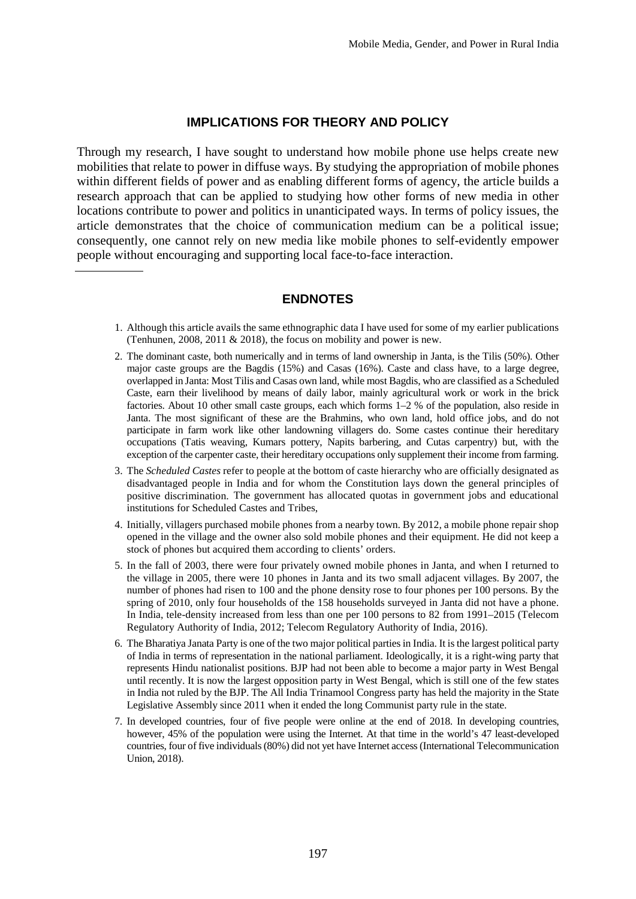## **IMPLICATIONS FOR THEORY AND POLICY**

Through my research, I have sought to understand how mobile phone use helps create new mobilities that relate to power in diffuse ways. By studying the appropriation of mobile phones within different fields of power and as enabling different forms of agency, the article builds a research approach that can be applied to studying how other forms of new media in other locations contribute to power and politics in unanticipated ways. In terms of policy issues, the article demonstrates that the choice of communication medium can be a political issue; consequently, one cannot rely on new media like mobile phones to self-evidently empower people without encouraging and supporting local face-to-face interaction.

## **ENDNOTES**

- 1. Although this article avails the same ethnographic data I have used for some of my earlier publications (Tenhunen, 2008, 2011 & 2018), the focus on mobility and power is new.
- 2. The dominant caste, both numerically and in terms of land ownership in Janta, is the Tilis (50%). Other major caste groups are the Bagdis (15%) and Casas (16%). Caste and class have, to a large degree, overlapped in Janta: Most Tilis and Casas own land, while most Bagdis, who are classified as a Scheduled Caste, earn their livelihood by means of daily labor, mainly agricultural work or work in the brick factories. About 10 other small caste groups, each which forms 1–2 % of the population, also reside in Janta. The most significant of these are the Brahmins, who own land, hold office jobs, and do not participate in farm work like other landowning villagers do. Some castes continue their hereditary occupations (Tatis weaving, Kumars pottery, Napits barbering, and Cutas carpentry) but, with the exception of the carpenter caste, their hereditary occupations only supplement their income from farming.
- 3. The *Scheduled Castes* refer to people at the bottom of caste hierarchy who are officially designated as disadvantaged people in India and for whom the Constitution lays down the general principles of positive discrimination. The government has allocated quotas in government jobs and educational institutions for Scheduled Castes and Tribes,
- 4. Initially, villagers purchased mobile phones from a nearby town. By 2012, a mobile phone repair shop opened in the village and the owner also sold mobile phones and their equipment. He did not keep a stock of phones but acquired them according to clients' orders.
- 5. In the fall of 2003, there were four privately owned mobile phones in Janta, and when I returned to the village in 2005, there were 10 phones in Janta and its two small adjacent villages. By 2007, the number of phones had risen to 100 and the phone density rose to four phones per 100 persons. By the spring of 2010, only four households of the 158 households surveyed in Janta did not have a phone. In India, tele-density increased from less than one per 100 persons to 82 from 1991–2015 (Telecom Regulatory Authority of India, 2012; Telecom Regulatory Authority of India, 2016).
- 6. The Bharatiya Janata Party is one of the two major political parties in India. It is the largest political party of India in terms of representation in the national parliament. Ideologically, it is a right-wing party that represents Hindu nationalist positions. BJP had not been able to become a major party in West Bengal until recently. It is now the largest opposition party in West Bengal, which is still one of the few states in India not ruled by the BJP. The All India Trinamool Congress party has held the majority in the State Legislative Assembly since 2011 when it ended the long Communist party rule in the state.
- 7. In developed countries, four of five people were online at the end of 2018. In developing countries, however, 45% of the population were using the Internet. At that time in the world's 47 least-developed countries, four of five individuals (80%) did not yet have Internet access (International Telecommunication Union, 2018).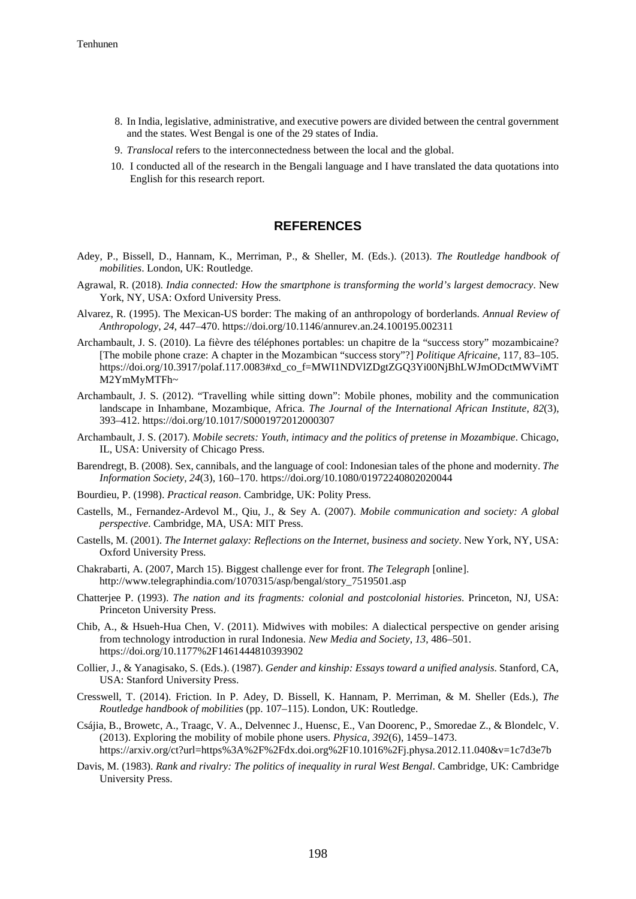- 8. In India, legislative, administrative, and executive powers are divided between the central government and the states. West Bengal is one of the 29 states of India.
- 9. *Translocal* refers to the interconnectedness between the local and the global.
- 10. I conducted all of the research in the Bengali language and I have translated the data quotations into English for this research report.

#### **REFERENCES**

- Adey, P., Bissell, D., Hannam, K., Merriman, P., & Sheller, M. (Eds.). (2013). *The Routledge handbook of mobilities*. London, UK: Routledge.
- Agrawal, R. (2018). *India connected: How the smartphone is transforming the world's largest democracy*. New York, NY, USA: Oxford University Press.
- Alvarez, R. (1995). The Mexican-US border: The making of an anthropology of borderlands. *Annual Review of Anthropology*, *24*, 447–470. https://doi.org/10.1146/annurev.an.24.100195.002311
- Archambault, J. S. (2010). La fièvre des téléphones portables: un chapitre de la "success story" mozambicaine? [The mobile phone craze: A chapter in the Mozambican "success story"?] *Politique Africaine*, 117, 83–105. https://doi.org/10.3917/polaf.117.0083#xd\_co\_f=MWI1NDVlZDgtZGQ3Yi00NjBhLWJmODctMWViMT M2YmMyMTFh~
- Archambault, J. S. (2012). "Travelling while sitting down": Mobile phones, mobility and the communication landscape in Inhambane, Mozambique, Africa. *The Journal of the International African Institute*, *82*(3), 393–412. https://doi.org/10.1017/S0001972012000307
- Archambault, J. S. (2017). *Mobile secrets: Youth, intimacy and the politics of pretense in Mozambique*. Chicago, IL, USA: University of Chicago Press.
- Barendregt, B. (2008). Sex, cannibals, and the language of cool: Indonesian tales of the phone and modernity. *The Information Society*, *24*(3), 160–170. https://doi.org/10.1080/01972240802020044
- Bourdieu, P. (1998). *Practical reason*. Cambridge, UK: Polity Press.
- Castells, M., Fernandez-Ardevol M., Qiu, J., & Sey A. (2007). *Mobile communication and society: A global perspective*. Cambridge, MA, USA: MIT Press.
- Castells, M. (2001). *The Internet galaxy: Reflections on the Internet, business and society*. New York, NY, USA: Oxford University Press.
- Chakrabarti, A. (2007, March 15). Biggest challenge ever for front. *The Telegraph* [online]. http://www.telegraphindia.com/1070315/asp/bengal/story\_7519501.asp
- Chatterjee P. (1993). *The nation and its fragments: colonial and postcolonial histories*. Princeton, NJ, USA: Princeton University Press.
- Chib, A., & Hsueh-Hua Chen, V. (2011). Midwives with mobiles: A dialectical perspective on gender arising from technology introduction in rural Indonesia. *New Media and Society*, *13*, 486–501. https://doi.org/10.1177%2F1461444810393902
- Collier, J., & Yanagisako, S. (Eds.). (1987). *Gender and kinship: Essays toward a unified analysis*. Stanford, CA, USA: Stanford University Press.
- Cresswell, T. (2014). Friction. In P. Adey, D. Bissell, K. Hannam, P. Merriman, & M. Sheller (Eds.), *The Routledge handbook of mobilities* (pp. 107–115). London, UK: Routledge.
- Csájia, B., Browetc, A., Traagc, V. A., Delvennec J., Huensc, E., Van Doorenc, P., Smoredae Z., & Blondelc, V. (2013). Exploring the mobility of mobile phone users. *Physica, 392*(6), 1459–1473. https://arxiv.org/ct?url=https%3A%2F%2Fdx.doi.org%2F10.1016%2Fj.physa.2012.11.040&v=1c7d3e7b
- Davis, M. (1983). *Rank and rivalry: The politics of inequality in rural West Bengal*. Cambridge, UK: Cambridge University Press.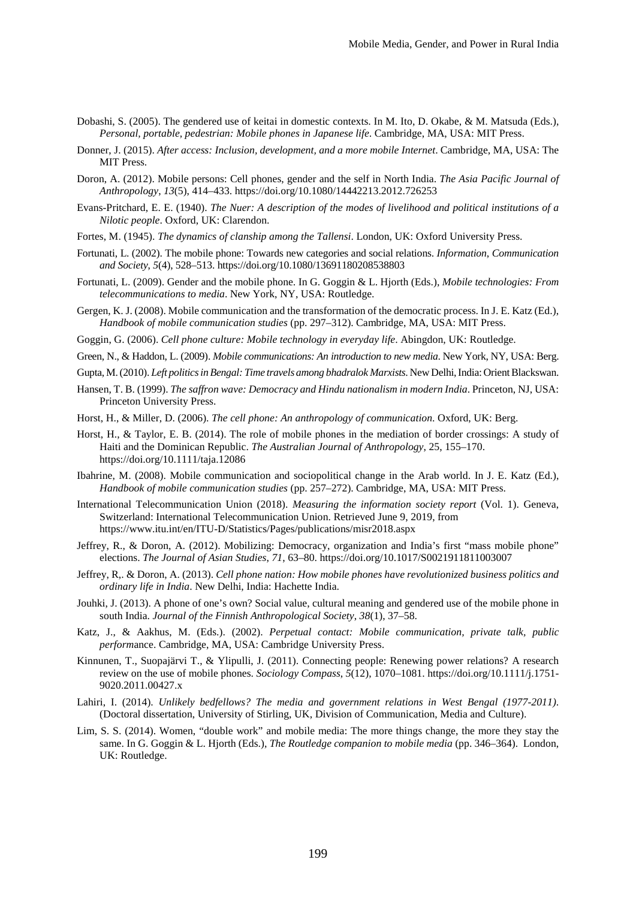- Dobashi, S. (2005). The gendered use of keitai in domestic contexts. In M. Ito, D. Okabe, & M. Matsuda (Eds.), *Personal, portable, pedestrian: Mobile phones in Japanese life*. Cambridge, MA, USA: MIT Press.
- Donner, J. (2015). *After access: Inclusion, development, and a more mobile Internet*. Cambridge, MA, USA: The MIT Press.
- Doron, A. (2012). Mobile persons: Cell phones, gender and the self in North India. *The Asia Pacific Journal of Anthropology*, *13*(5), 414–433. https://doi.org/10.1080/14442213.2012.726253
- Evans-Pritchard, E. E. (1940). *The Nuer: A description of the modes of livelihood and political institutions of a Nilotic people*. Oxford, UK: Clarendon.
- Fortes, M. (1945). *The dynamics of clanship among the Tallensi*. London, UK: Oxford University Press.
- Fortunati, L. (2002). The mobile phone: Towards new categories and social relations. *Information*, *Communication and Society*, *5*(4), 528–513. https://doi.org/10.1080/13691180208538803
- Fortunati, L. (2009). Gender and the mobile phone. In G. Goggin & L. Hjorth (Eds.), *Mobile technologies: From telecommunications to media*. New York, NY, USA: Routledge.
- Gergen, K. J. (2008). Mobile communication and the transformation of the democratic process. In J. E. Katz (Ed.), *Handbook of mobile communication studies* (pp. 297–312). Cambridge, MA, USA: MIT Press.
- Goggin, G. (2006). *Cell phone culture: Mobile technology in everyday life*. Abingdon, UK: Routledge.
- Green, N., & Haddon, L. (2009). *Mobile communications: An introduction to new media*. New York, NY, USA: Berg.
- Gupta, M. (2010). *Left politics in Bengal: Time travels among bhadralok Marxists*. New Delhi, India: Orient Blackswan.
- Hansen, T. B. (1999). *The saffron wave: Democracy and Hindu nationalism in modern India*. Princeton, NJ, USA: Princeton University Press.
- Horst, H., & Miller, D. (2006). *The cell phone: An anthropology of communication*. Oxford, UK: Berg.
- Horst, H., & Taylor, E. B. (2014). The role of mobile phones in the mediation of border crossings: A study of Haiti and the Dominican Republic. *The Australian Journal of Anthropology*, 25, 155–170. https://doi.org/10.1111/taja.12086
- Ibahrine, M. (2008). Mobile communication and sociopolitical change in the Arab world. In J. E. Katz (Ed.), *Handbook of mobile communication studies* (pp. 257–272). Cambridge, MA, USA: MIT Press.
- International Telecommunication Union (2018). *Measuring the information society report* (Vol. 1). Geneva, Switzerland: International Telecommunication Union. Retrieved June 9, 2019, from https://www.itu.int/en/ITU-D/Statistics/Pages/publications/misr2018.aspx
- Jeffrey, R., & Doron, A. (2012). Mobilizing: Democracy, organization and India's first "mass mobile phone" elections. *The Journal of Asian Studies*, *71*, 63–80. https://doi.org/10.1017/S0021911811003007
- Jeffrey, R,. & Doron, A. (2013). *Cell phone nation: How mobile phones have revolutionized business politics and ordinary life in India*. New Delhi, India: Hachette India.
- Jouhki, J. (2013). A phone of one's own? Social value, cultural meaning and gendered use of the mobile phone in south India. *Journal of the Finnish Anthropological Society*, *38*(1), 37–58.
- Katz, J., & Aakhus, M. (Eds.). (2002). *Perpetual contact: Mobile communication, private talk, public perform*ance. Cambridge, MA, USA: Cambridge University Press.
- Kinnunen, T., Suopajärvi T., & Ylipulli, J. (2011). Connecting people: Renewing power relations? A research review on the use of mobile phones. *Sociology Compass*, *5*(12), 1070–1081. [https://doi.org/10.1111/j.1751-](https://doi.org/10.1111/j.1751-9020.2011.00427.x) [9020.2011.00427.x](https://doi.org/10.1111/j.1751-9020.2011.00427.x)
- Lahiri, I. (2014). *Unlikely bedfellows? The media and government relations in West Bengal (1977-2011)*. (Doctoral dissertation, University of Stirling, UK, Division of Communication, Media and Culture).
- Lim, S. S. (2014). Women, "double work" and mobile media: The more things change, the more they stay the same. In G. Goggin & L. Hjorth (Eds.), *The Routledge companion to mobile media* (pp. 346–364). London, UK: Routledge.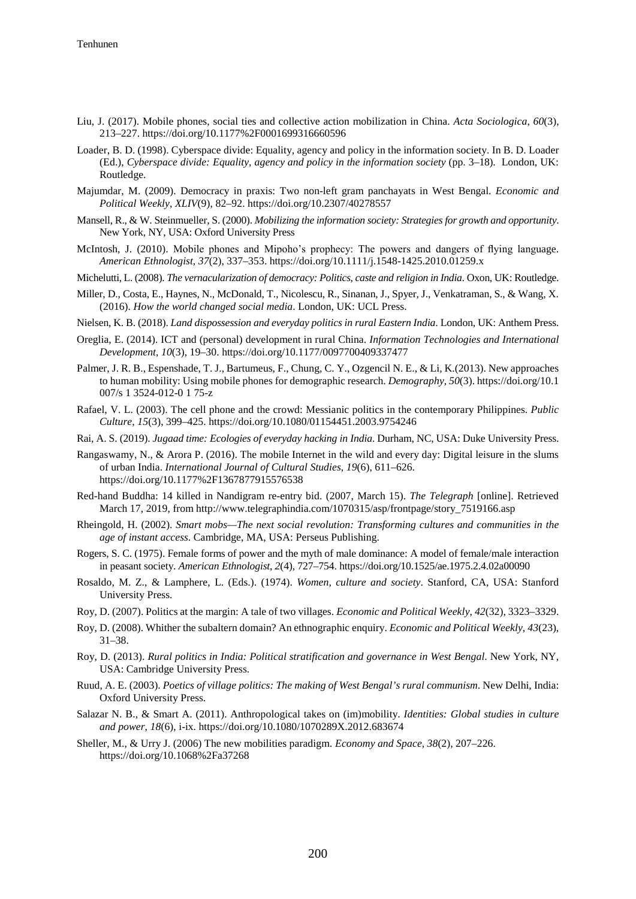- Liu, J. (2017). Mobile phones, social ties and collective action mobilization in China. *Acta Sociologica*, *60*(3), 213–227. https://doi.org/10.1177%2F0001699316660596
- Loader, B. D. (1998). Cyberspace divide: Equality, agency and policy in the information society. In B. D. Loader (Ed.), *Cyberspace divide: Equality, agency and policy in the information society* (pp. 3–18). London, UK: Routledge.
- Majumdar, M. (2009). Democracy in praxis: Two non-left gram panchayats in West Bengal. *Economic and Political Weekly*, *XLIV*(9), 82–92. https://doi.org/10.2307/40278557
- Mansell, R., & W. Steinmueller, S. (2000). *Mobilizing the information society: Strategies for growth and opportunity*. New York, NY, USA: Oxford University Press
- McIntosh, J. (2010). Mobile phones and Mipoho's prophecy: The powers and dangers of flying language. *American Ethnologist*, *37*(2), 337–353. https://doi.org/10.1111/j.1548-1425.2010.01259.x
- Michelutti, L. (2008). *The vernacularization of democracy: Politics, caste and religion in India*. Oxon, UK: Routledge.
- Miller, D., Costa, E., Haynes, N., McDonald, T., Nicolescu, R., Sinanan, J., Spyer, J., Venkatraman, S., & Wang, X. (2016). *How the world changed social media*. London, UK: UCL Press.
- Nielsen, K. B. (2018). *Land dispossession and everyday politics in rural Eastern India*. London, UK: Anthem Press.
- Oreglia, E. (2014). ICT and (personal) development in rural China. *Information Technologies and International Development*, *10*(3), 19–30. https://doi.org/10.1177/0097700409337477
- Palmer, J. R. B., Espenshade, T. J., Bartumeus, F., Chung, C. Y., Ozgencil N. E., & Li, K.(2013). New approaches to human mobility: Using mobile phones for demographic research. *Demography*, *50*(3). https://doi.org/10.1 007/s 1 3524-012-0 1 75-z
- Rafael, V. L. (2003). The cell phone and the crowd: Messianic politics in the contemporary Philippines. *Public Culture*, *15*(3), 399–425. https://doi.org/10.1080/01154451.2003.9754246
- Rai, A. S. (2019). *Jugaad time: Ecologies of everyday hacking in India*. Durham, NC, USA: Duke University Press.
- Rangaswamy, N., & Arora P. (2016). The mobile Internet in the wild and every day: Digital leisure in the slums of urban India. *International Journal of Cultural Studies*, *19*(6), 611–626. <https://doi.org/10.1177%2F1367877915576538>
- Red-hand Buddha: 14 killed in Nandigram re-entry bid. (2007, March 15). *The Telegraph* [online]. Retrieved March 17, 2019, from http://www.telegraphindia.com/1070315/asp/frontpage/story 7519166.asp
- Rheingold, H. (2002). *Smart mobs—The next social revolution: Transforming cultures and communities in the age of instant access*. Cambridge, MA, USA: Perseus Publishing.
- Rogers, S. C. (1975). Female forms of power and the myth of male dominance: A model of female/male interaction in peasant society. *American Ethnologist*, *2*(4), 727–754. https://doi.org/10.1525/ae.1975.2.4.02a00090
- Rosaldo, M. Z., & Lamphere, L. (Eds.). (1974). *Women, culture and society*. Stanford, CA, USA: Stanford University Press.
- Roy, D. (2007). Politics at the margin: A tale of two villages. *Economic and Political Weekly*, *42*(32), 3323–3329.
- Roy, D. (2008). Whither the subaltern domain? An ethnographic enquiry. *Economic and Political Weekly*, *43*(23), 31–38.
- Roy, D. (2013). *Rural politics in India: Political stratification and governance in West Bengal*. New York, NY, USA: Cambridge University Press.
- Ruud, A. E. (2003). *Poetics of village politics: The making of West Bengal's rural communism*. New Delhi, India: Oxford University Press.
- Salazar N. B., & Smart A. (2011). Anthropological takes on (im)mobility. *Identities: Global studies in culture and power*, *18*(6), i-ix. https://doi.org/10.1080/1070289X.2012.683674
- Sheller, M., & Urry J. (2006) The new mobilities paradigm. *Economy and Space*, *38*(2), 207–226. https://doi.org/10.1068%2Fa37268